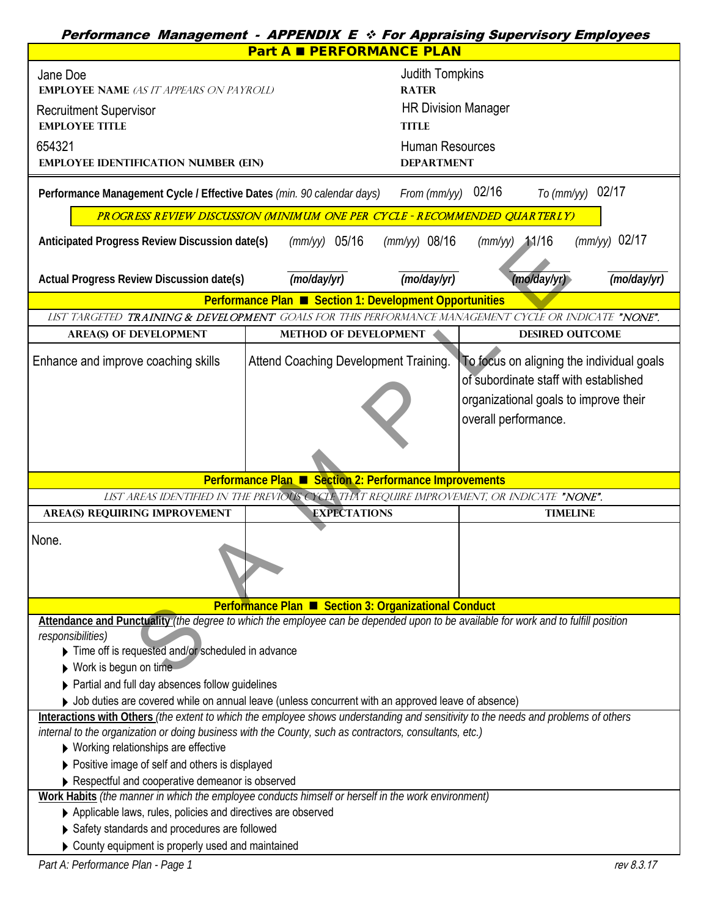| Performance Management - APPENDIX E ☆ For Appraising Supervisory Employees                                                                                                                                                                                                                                                                                                                                          |                                                                                           |                                                                                                                              |                                                                                                                                                     |                 |
|---------------------------------------------------------------------------------------------------------------------------------------------------------------------------------------------------------------------------------------------------------------------------------------------------------------------------------------------------------------------------------------------------------------------|-------------------------------------------------------------------------------------------|------------------------------------------------------------------------------------------------------------------------------|-----------------------------------------------------------------------------------------------------------------------------------------------------|-----------------|
|                                                                                                                                                                                                                                                                                                                                                                                                                     | <b>Part A ■ PERFORMANCE PLAN</b>                                                          |                                                                                                                              |                                                                                                                                                     |                 |
| Jane Doe<br><b>EMPLOYEE NAME</b> (AS IT APPEARS ON PAYROLL)<br><b>Recruitment Supervisor</b><br><b>EMPLOYEE TITLE</b><br>654321<br><b>EMPLOYEE IDENTIFICATION NUMBER (EIN)</b>                                                                                                                                                                                                                                      |                                                                                           | <b>Judith Tompkins</b><br><b>RATER</b><br><b>HR Division Manager</b><br><b>TITLE</b><br>Human Resources<br><b>DEPARTMENT</b> |                                                                                                                                                     |                 |
|                                                                                                                                                                                                                                                                                                                                                                                                                     |                                                                                           |                                                                                                                              | 02/16                                                                                                                                               |                 |
| Performance Management Cycle / Effective Dates (min. 90 calendar days)                                                                                                                                                                                                                                                                                                                                              |                                                                                           | From (mm/yy)                                                                                                                 | To (mm/yy) 02/17                                                                                                                                    |                 |
| PROGRESS REVIEW DISCUSSION (MINIMUM ONE PER CYCLE - RECOMMENDED QUARTERLY)                                                                                                                                                                                                                                                                                                                                          |                                                                                           |                                                                                                                              |                                                                                                                                                     |                 |
| Anticipated Progress Review Discussion date(s)                                                                                                                                                                                                                                                                                                                                                                      | $(mm/yy)$ 05/16                                                                           | $(mm/yy)$ 08/16                                                                                                              | $(mm/yy)$ 11/16                                                                                                                                     | $(mm/yy)$ 02/17 |
| <b>Actual Progress Review Discussion date(s)</b>                                                                                                                                                                                                                                                                                                                                                                    | (mo/day/yr)                                                                               | (moday/yr)                                                                                                                   | (mo/day/yr)                                                                                                                                         | (moday/yr)      |
|                                                                                                                                                                                                                                                                                                                                                                                                                     | Performance Plan ■ Section 1: Development Opportunities                                   |                                                                                                                              |                                                                                                                                                     |                 |
| LIST TARGETED <b>TRAINING &amp; DEVELOPMENT</b> GOALS FOR THIS PERFORMANCE MANAGEMENT CYCLE OR INDICATE "NONE".                                                                                                                                                                                                                                                                                                     |                                                                                           |                                                                                                                              |                                                                                                                                                     |                 |
| <b>AREA(S) OF DEVELOPMENT</b>                                                                                                                                                                                                                                                                                                                                                                                       | METHOD OF DEVELOPMENT                                                                     |                                                                                                                              | <b>DESIRED OUTCOME</b>                                                                                                                              |                 |
|                                                                                                                                                                                                                                                                                                                                                                                                                     |                                                                                           |                                                                                                                              |                                                                                                                                                     |                 |
| Enhance and improve coaching skills                                                                                                                                                                                                                                                                                                                                                                                 | <b>Attend Coaching Development Training.</b>                                              |                                                                                                                              | To focus on aligning the individual goals<br>of subordinate staff with established<br>organizational goals to improve their<br>overall performance. |                 |
|                                                                                                                                                                                                                                                                                                                                                                                                                     | Performance Plan ■ Section 2: Performance Improvements                                    |                                                                                                                              |                                                                                                                                                     |                 |
|                                                                                                                                                                                                                                                                                                                                                                                                                     | LIST AREAS IDENTIFIED IN THE PREVIOUS CYCLE THAT REQUIRE IMPROVEMENT, OR INDICATE "NONE". |                                                                                                                              |                                                                                                                                                     |                 |
| <b>AREA(S) REQUIRING IMPROVEMENT</b>                                                                                                                                                                                                                                                                                                                                                                                | <b>EXPECTATIONS</b>                                                                       |                                                                                                                              | <b>TIMELINE</b>                                                                                                                                     |                 |
| None.                                                                                                                                                                                                                                                                                                                                                                                                               |                                                                                           |                                                                                                                              |                                                                                                                                                     |                 |
|                                                                                                                                                                                                                                                                                                                                                                                                                     | <b>Performance Plan ■ Section 3: Organizational Conduct</b>                               |                                                                                                                              |                                                                                                                                                     |                 |
| Attendance and Punctuality (the degree to which the employee can be depended upon to be available for work and to fulfill position<br>responsibilities)<br>Time off is requested and/or scheduled in advance<br>$\triangleright$ Work is begun on time<br>> Partial and full day absences follow guidelines<br>• Job duties are covered while on annual leave (unless concurrent with an approved leave of absence) |                                                                                           |                                                                                                                              |                                                                                                                                                     |                 |
| Interactions with Others (the extent to which the employee shows understanding and sensitivity to the needs and problems of others                                                                                                                                                                                                                                                                                  |                                                                                           |                                                                                                                              |                                                                                                                                                     |                 |
| internal to the organization or doing business with the County, such as contractors, consultants, etc.)<br>$\triangleright$ Working relationships are effective<br>▶ Positive image of self and others is displayed<br>Respectful and cooperative demeanor is observed                                                                                                                                              |                                                                                           |                                                                                                                              |                                                                                                                                                     |                 |
| Work Habits (the manner in which the employee conducts himself or herself in the work environment)                                                                                                                                                                                                                                                                                                                  |                                                                                           |                                                                                                                              |                                                                                                                                                     |                 |
| Applicable laws, rules, policies and directives are observed                                                                                                                                                                                                                                                                                                                                                        |                                                                                           |                                                                                                                              |                                                                                                                                                     |                 |
| Safety standards and procedures are followed                                                                                                                                                                                                                                                                                                                                                                        |                                                                                           |                                                                                                                              |                                                                                                                                                     |                 |

County equipment is properly used and maintained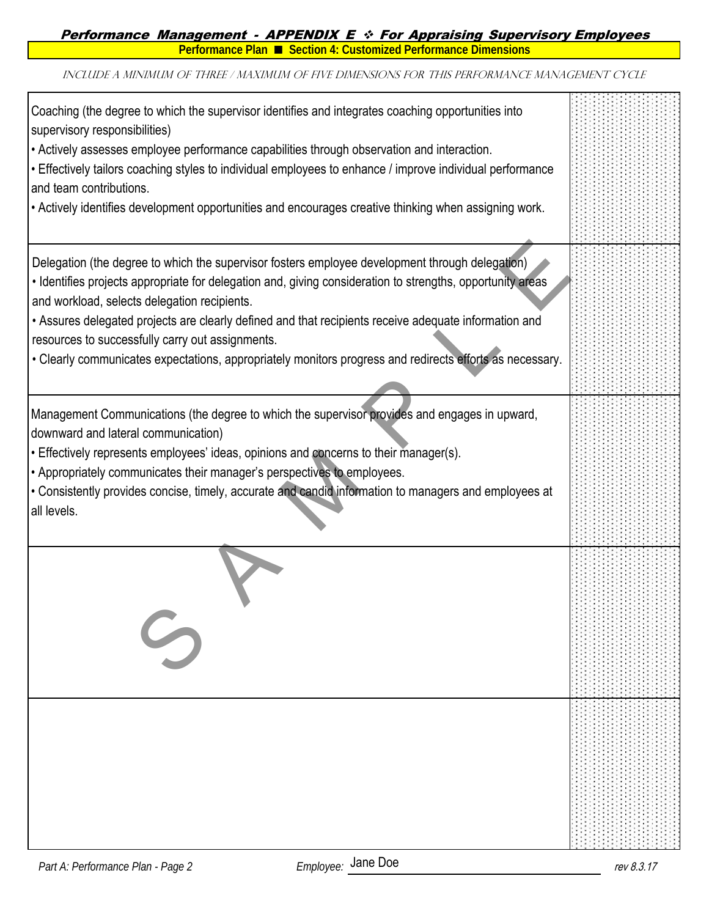## Performance Management - APPENDIX E  $\div$  For Appraising Supervisory Employees **Performance Plan ■ Section 4: Customized Performance Dimensions**

Include a minimum of three / maximum of five dimensions for this performance management cycle

Coaching (the degree to which the supervisor identifies and integrates coaching opportunities into supervisory responsibilities)

• Actively assesses employee performance capabilities through observation and interaction.

• Effectively tailors coaching styles to individual employees to enhance / improve individual performance and team contributions.

• Actively identifies development opportunities and encourages creative thinking when assigning work.

Delegation (the degree to which the supervisor fosters employee development through delegation)

- The townich the supervisor fosters employee development through delegation)<br>appropriate for delegation and, giving consideration to strengths, opportunity areas<br>ts delegation recipients.<br>projects are clearly defined and th • Identifies projects appropriate for delegation and, giving consideration to strengths, opportunity areas and workload, selects delegation recipients.
- Assures delegated projects are clearly defined and that recipients receive adequate information and resources to successfully carry out assignments.

• Clearly communicates expectations, appropriately monitors progress and redirects efforts as necessary.

Management Communications (the degree to which the supervisor provides and engages in upward, downward and lateral communication)

- Effectively represents employees' ideas, opinions and concerns to their manager(s).
- Appropriately communicates their manager's perspectives to employees.
- Consistently provides concise, timely, accurate and candid information to managers and employees at all levels.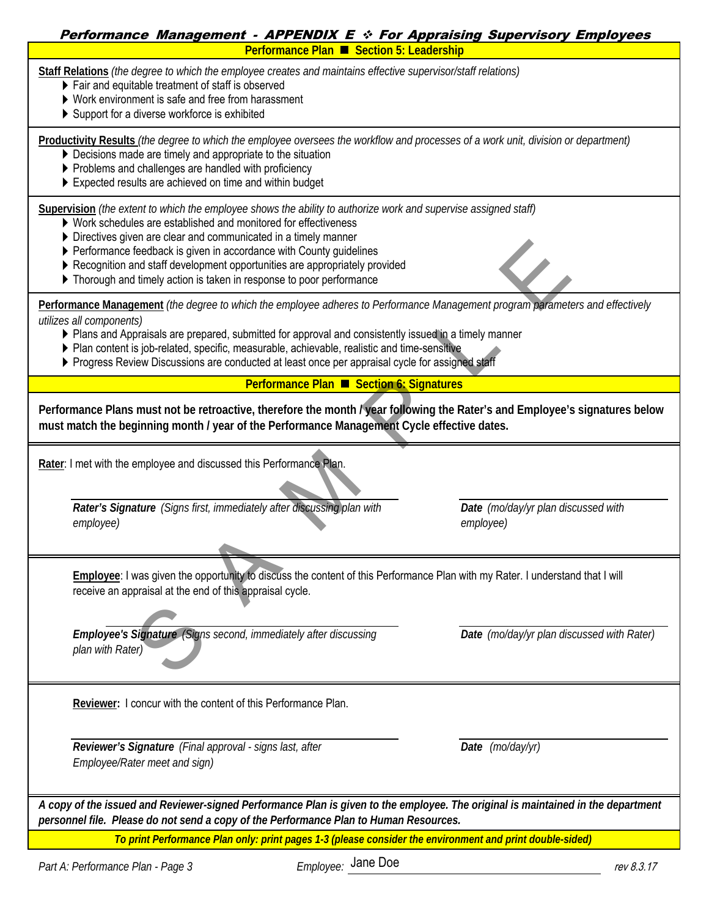| <u> Performance Management - APPENDIX E <math>\cdot \cdot</math> For Appraising Supervisory Employees</u><br><b>Performance Plan ■ Section 5: Leadership</b>                                                                                                                                                                                                                                                                                                                       |                                                  |  |  |
|------------------------------------------------------------------------------------------------------------------------------------------------------------------------------------------------------------------------------------------------------------------------------------------------------------------------------------------------------------------------------------------------------------------------------------------------------------------------------------|--------------------------------------------------|--|--|
|                                                                                                                                                                                                                                                                                                                                                                                                                                                                                    |                                                  |  |  |
| Staff Relations (the degree to which the employee creates and maintains effective supervisor/staff relations)<br>Fair and equitable treatment of staff is observed<br>▶ Work environment is safe and free from harassment<br>Support for a diverse workforce is exhibited                                                                                                                                                                                                          |                                                  |  |  |
| Productivity Results (the degree to which the employee oversees the workflow and processes of a work unit, division or department)<br>Decisions made are timely and appropriate to the situation<br>▶ Problems and challenges are handled with proficiency<br>Expected results are achieved on time and within budget                                                                                                                                                              |                                                  |  |  |
| Supervision (the extent to which the employee shows the ability to authorize work and supervise assigned staff)<br>▶ Work schedules are established and monitored for effectiveness<br>Directives given are clear and communicated in a timely manner<br>▶ Performance feedback is given in accordance with County guidelines<br>Recognition and staff development opportunities are appropriately provided<br>Thorough and timely action is taken in response to poor performance |                                                  |  |  |
| Performance Management (the degree to which the employee adheres to Performance Management program parameters and effectively<br>utilizes all components)<br>▶ Plans and Appraisals are prepared, submitted for approval and consistently issued in a timely manner<br>▶ Plan content is job-related, specific, measurable, achievable, realistic and time-sensitive<br>▶ Progress Review Discussions are conducted at least once per appraisal cycle for assigned staff           |                                                  |  |  |
| <b>Performance Plan ■ Section 6: Signatures</b>                                                                                                                                                                                                                                                                                                                                                                                                                                    |                                                  |  |  |
| Performance Plans must not be retroactive, therefore the month / year following the Rater's and Employee's signatures below<br>must match the beginning month / year of the Performance Management Cycle effective dates.                                                                                                                                                                                                                                                          |                                                  |  |  |
| Rater: I met with the employee and discussed this Performance Plan.                                                                                                                                                                                                                                                                                                                                                                                                                |                                                  |  |  |
| Rater's Signature (Signs first, immediately after discussing plan with<br>employee)                                                                                                                                                                                                                                                                                                                                                                                                | Date (mo/day/yr plan discussed with<br>employee) |  |  |
| Employee: I was given the opportunity to discuss the content of this Performance Plan with my Rater. I understand that I will<br>receive an appraisal at the end of this appraisal cycle.                                                                                                                                                                                                                                                                                          |                                                  |  |  |
| Employee's Signature (Signs second, immediately after discussing<br>plan with Rater)                                                                                                                                                                                                                                                                                                                                                                                               | Date (mo/day/yr plan discussed with Rater)       |  |  |
| Reviewer: I concur with the content of this Performance Plan.                                                                                                                                                                                                                                                                                                                                                                                                                      |                                                  |  |  |
| Reviewer's Signature (Final approval - signs last, after<br>Employee/Rater meet and sign)                                                                                                                                                                                                                                                                                                                                                                                          | Date (mo/day/yr)                                 |  |  |
| A copy of the issued and Reviewer-signed Performance Plan is given to the employee. The original is maintained in the department<br>personnel file. Please do not send a copy of the Performance Plan to Human Resources.                                                                                                                                                                                                                                                          |                                                  |  |  |
| To print Performance Plan only: print pages 1-3 (please consider the environment and print double-sided)                                                                                                                                                                                                                                                                                                                                                                           |                                                  |  |  |

*Employee:* Jane Doe *rev 8.3.17*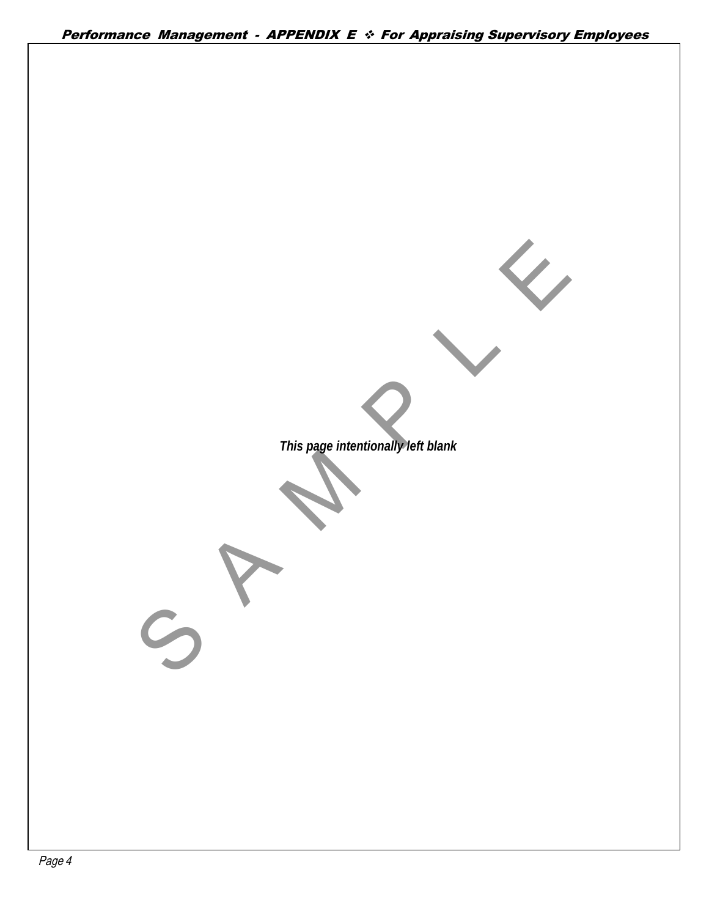*This page intentionally left blank* This page intentionally left blank<br>
S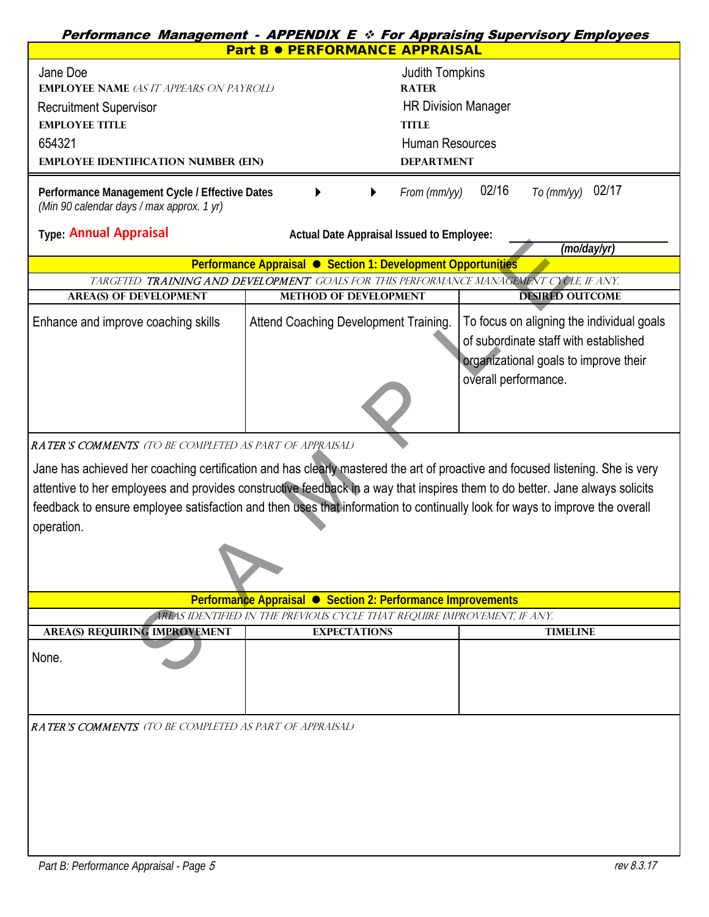| Performance Management - APPENDIX E $\cdot$ For Appraising Supervisory Employees                                                                                                                                                                                                                                                                                                                           |                                                                                                                                     |                                                                                                                                                     |  |  |
|------------------------------------------------------------------------------------------------------------------------------------------------------------------------------------------------------------------------------------------------------------------------------------------------------------------------------------------------------------------------------------------------------------|-------------------------------------------------------------------------------------------------------------------------------------|-----------------------------------------------------------------------------------------------------------------------------------------------------|--|--|
| <b>Part B ● PERFORMANCE APPRAISAL</b>                                                                                                                                                                                                                                                                                                                                                                      |                                                                                                                                     |                                                                                                                                                     |  |  |
| Jane Doe<br><b>EMPLOYEE NAME</b> (AS IT APPEARS ON PAYROLL)<br><b>Recruitment Supervisor</b><br><b>EMPLOYEE TITLE</b><br>654321<br><b>EMPLOYEE IDENTIFICATION NUMBER (EIN)</b>                                                                                                                                                                                                                             | <b>Judith Tompkins</b><br><b>RATER</b><br><b>HR Division Manager</b><br><b>TITLE</b><br><b>Human Resources</b><br><b>DEPARTMENT</b> |                                                                                                                                                     |  |  |
| Performance Management Cycle / Effective Dates<br>(Min 90 calendar days / max approx. 1 yr)                                                                                                                                                                                                                                                                                                                | From (mm/yy)                                                                                                                        | 02/16<br>02/17<br>To (mm/yy)                                                                                                                        |  |  |
| Type: Annual Appraisal                                                                                                                                                                                                                                                                                                                                                                                     | Actual Date Appraisal Issued to Employee:                                                                                           | (mo/day/yr)                                                                                                                                         |  |  |
|                                                                                                                                                                                                                                                                                                                                                                                                            | Performance Appraisal ● Section 1: Development Opportunities                                                                        |                                                                                                                                                     |  |  |
|                                                                                                                                                                                                                                                                                                                                                                                                            | TARGETED TRAINING AND DEVELOPMENT GOALS FOR THIS PERFORMANCE MANAGEMENT CYCLE, IF ANY.                                              |                                                                                                                                                     |  |  |
| <b>AREA(S) OF DEVELOPMENT</b>                                                                                                                                                                                                                                                                                                                                                                              | <b>METHOD OF DEVELOPMENT</b>                                                                                                        | <b>DESIRED OUTCOME</b>                                                                                                                              |  |  |
| Enhance and improve coaching skills                                                                                                                                                                                                                                                                                                                                                                        | Attend Coaching Development Training.                                                                                               | To focus on aligning the individual goals<br>of subordinate staff with established<br>organizational goals to improve their<br>overall performance. |  |  |
| RATER'S COMMENTS (TO BE COMPLETED AS PART OF APPRAISAL)                                                                                                                                                                                                                                                                                                                                                    |                                                                                                                                     |                                                                                                                                                     |  |  |
| Jane has achieved her coaching certification and has clearly mastered the art of proactive and focused listening. She is very<br>attentive to her employees and provides constructive feedback in a way that inspires them to do better. Jane always solicits<br>feedback to ensure employee satisfaction and then uses that information to continually look for ways to improve the overall<br>operation. |                                                                                                                                     |                                                                                                                                                     |  |  |
| Performance Appraisal ● Section 2: Performance Improvements                                                                                                                                                                                                                                                                                                                                                |                                                                                                                                     |                                                                                                                                                     |  |  |
| AREAS IDENTIFIED IN THE PREVIOUS CYCLE THAT REQUIRE IMPROVEMENT, IF ANY.                                                                                                                                                                                                                                                                                                                                   |                                                                                                                                     |                                                                                                                                                     |  |  |
| <b>AREA(S) REQUIRING IMPROVEMENT</b>                                                                                                                                                                                                                                                                                                                                                                       | <b>EXPECTATIONS</b>                                                                                                                 | <b>TIMELINE</b>                                                                                                                                     |  |  |
| None.                                                                                                                                                                                                                                                                                                                                                                                                      |                                                                                                                                     |                                                                                                                                                     |  |  |

|                                                                | Performance Appraisal ● Section 2: Performance Improvements              |                 |
|----------------------------------------------------------------|--------------------------------------------------------------------------|-----------------|
|                                                                | AREAS IDENTIFIED IN THE PREVIOUS CYCLE THAT REQUIRE IMPROVEMENT, IF ANY. |                 |
| <b>AREA(S) REQUIRING IMPROVEMENT</b>                           | <b>EXPECTATIONS</b>                                                      | <b>TIMELINE</b> |
| None.                                                          |                                                                          |                 |
| <b>RATER'S COMMENTS</b> (TO BE COMPLETED AS PART OF APPRAISAL) |                                                                          |                 |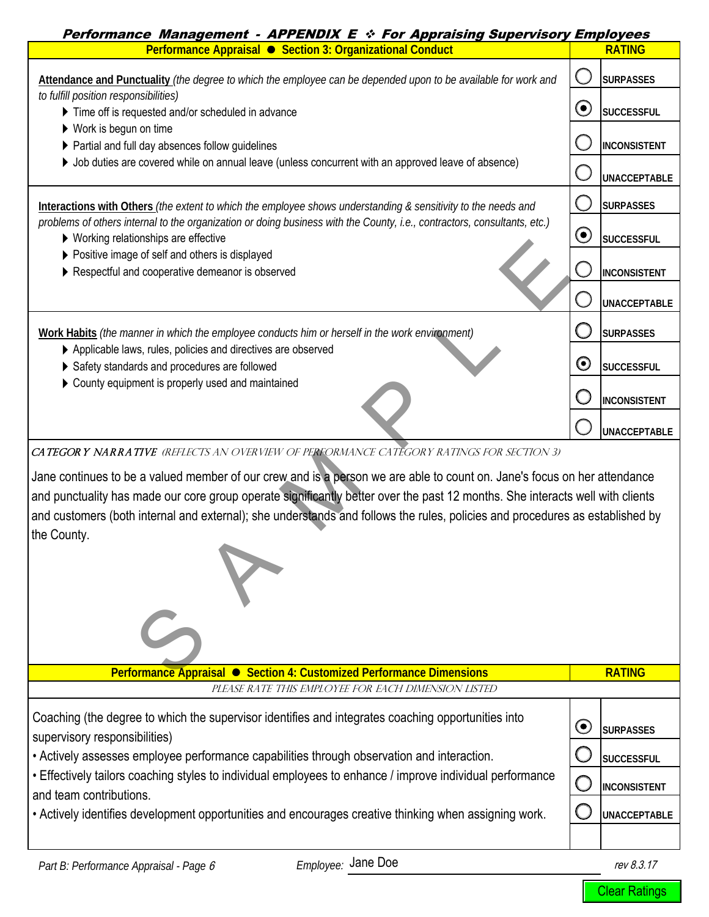| Performance Management - APPENDIX E $\div$ For Appraising Supervisory Employees                                                                                                                                                                                                                                                                                                                          |                          |                     |
|----------------------------------------------------------------------------------------------------------------------------------------------------------------------------------------------------------------------------------------------------------------------------------------------------------------------------------------------------------------------------------------------------------|--------------------------|---------------------|
| Performance Appraisal ● Section 3: Organizational Conduct                                                                                                                                                                                                                                                                                                                                                |                          | <b>RATING</b>       |
| Attendance and Punctuality (the degree to which the employee can be depended upon to be available for work and<br>to fulfill position responsibilities)                                                                                                                                                                                                                                                  |                          | <b>SURPASSES</b>    |
| Time off is requested and/or scheduled in advance<br>▶ Work is begun on time<br>▶ Partial and full day absences follow guidelines<br>If Job duties are covered while on annual leave (unless concurrent with an approved leave of absence)                                                                                                                                                               |                          | <b>SUCCESSFUL</b>   |
|                                                                                                                                                                                                                                                                                                                                                                                                          |                          | <b>INCONSISTENT</b> |
|                                                                                                                                                                                                                                                                                                                                                                                                          |                          | <b>UNACCEPTABLE</b> |
| Interactions with Others (the extent to which the employee shows understanding & sensitivity to the needs and<br>problems of others internal to the organization or doing business with the County, i.e., contractors, consultants, etc.)<br>▶ Working relationships are effective<br>▶ Positive image of self and others is displayed<br>Respectful and cooperative demeanor is observed                |                          | <b>SURPASSES</b>    |
|                                                                                                                                                                                                                                                                                                                                                                                                          |                          | SUCCESSFUL          |
|                                                                                                                                                                                                                                                                                                                                                                                                          |                          | <b>INCONSISTENT</b> |
|                                                                                                                                                                                                                                                                                                                                                                                                          |                          | <b>UNACCEPTABLE</b> |
| Work Habits (the manner in which the employee conducts him or herself in the work environment)<br>Applicable laws, rules, policies and directives are observed                                                                                                                                                                                                                                           |                          | <b>SURPASSES</b>    |
| Safety standards and procedures are followed<br>County equipment is properly used and maintained                                                                                                                                                                                                                                                                                                         | $\boldsymbol{\odot}$     | <b>SUCCESSFUL</b>   |
|                                                                                                                                                                                                                                                                                                                                                                                                          |                          | <b>INCONSISTENT</b> |
|                                                                                                                                                                                                                                                                                                                                                                                                          |                          | <b>UNACCEPTABLE</b> |
| <b>CATEGORY NARRATIVE</b> (REFLECTS AN OVERVIEW OF PERFORMANCE CATEGORY RATINGS FOR SECTION 3)                                                                                                                                                                                                                                                                                                           |                          |                     |
| Jane continues to be a valued member of our crew and is a person we are able to count on. Jane's focus on her attendance<br>and punctuality has made our core group operate significantly better over the past 12 months. She interacts well with clients<br>and customers (both internal and external); she understands and follows the rules, policies and procedures as established by<br>the County. |                          |                     |
|                                                                                                                                                                                                                                                                                                                                                                                                          |                          |                     |
|                                                                                                                                                                                                                                                                                                                                                                                                          |                          |                     |
| Performance Appraisal ● Section 4: Customized Performance Dimensions                                                                                                                                                                                                                                                                                                                                     |                          | <b>RATING</b>       |
| PLEASE RATE THIS EMPLOYEE FOR EACH DIMENSION LISTED                                                                                                                                                                                                                                                                                                                                                      |                          |                     |
| Coaching (the degree to which the supervisor identifies and integrates coaching opportunities into                                                                                                                                                                                                                                                                                                       | $\left( \bullet \right)$ | <b>SURPASSES</b>    |
| supervisory responsibilities)<br>• Actively assesses employee performance capabilities through observation and interaction.<br>• Effectively tailors coaching styles to individual employees to enhance / improve individual performance<br>and team contributions.<br>• Actively identifies development opportunities and encourages creative thinking when assigning work.                             |                          | <b>SUCCESSFUL</b>   |
|                                                                                                                                                                                                                                                                                                                                                                                                          |                          | <b>INCONSISTENT</b> |
|                                                                                                                                                                                                                                                                                                                                                                                                          |                          | <b>UNACCEPTABLE</b> |
| Fmployee Jane Doe<br>Part $R_1$ Performance Annraisal - Page 6                                                                                                                                                                                                                                                                                                                                           |                          | rev 8.3.17          |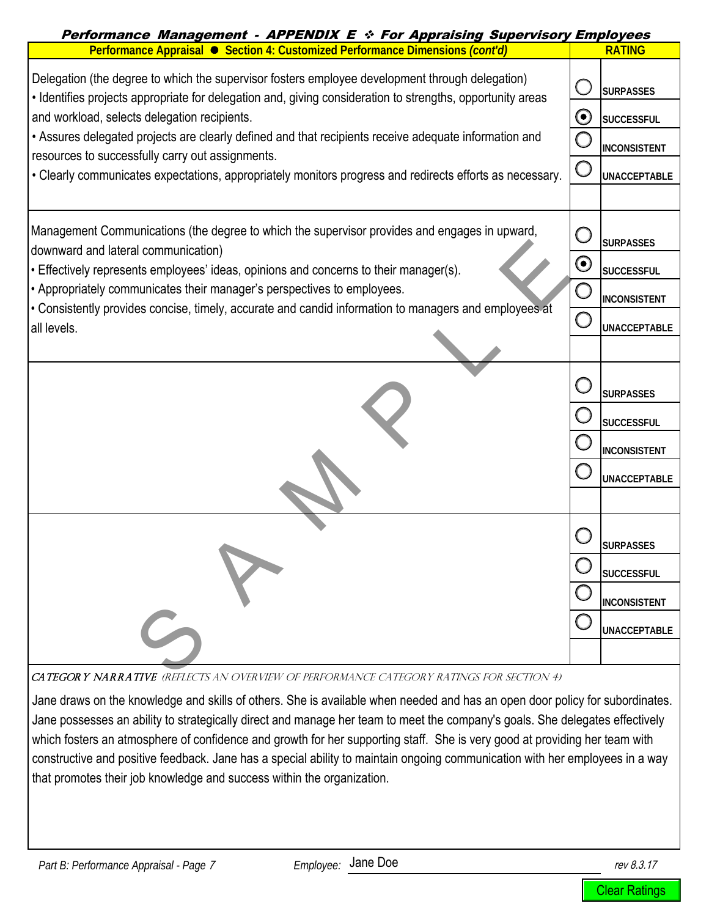| <b>Performance Management - APPENDIX E <math>\div</math> For Appraising Supervisory Employees</b>                                                                                                                                                             |                             |                                            |
|---------------------------------------------------------------------------------------------------------------------------------------------------------------------------------------------------------------------------------------------------------------|-----------------------------|--------------------------------------------|
| Performance Appraisal ● Section 4: Customized Performance Dimensions (cont'd)                                                                                                                                                                                 |                             | <b>RATING</b>                              |
| Delegation (the degree to which the supervisor fosters employee development through delegation)<br>• Identifies projects appropriate for delegation and, giving consideration to strengths, opportunity areas<br>and workload, selects delegation recipients. | $\textcolor{blue}{\bullet}$ | <b>SURPASSES</b><br><b>SUCCESSFUL</b>      |
| • Assures delegated projects are clearly defined and that recipients receive adequate information and<br>resources to successfully carry out assignments.                                                                                                     |                             | <b>INCONSISTENT</b>                        |
| • Clearly communicates expectations, appropriately monitors progress and redirects efforts as necessary.                                                                                                                                                      | U                           | <b>UNACCEPTABLE</b>                        |
| Management Communications (the degree to which the supervisor provides and engages in upward,<br>downward and lateral communication)                                                                                                                          |                             | <b>SURPASSES</b>                           |
| • Effectively represents employees' ideas, opinions and concerns to their manager(s).<br>• Appropriately communicates their manager's perspectives to employees.                                                                                              | $\boldsymbol{\Theta}$       | <b>SUCCESSFUL</b>                          |
| • Consistently provides concise, timely, accurate and candid information to managers and employees at<br>all levels.                                                                                                                                          | $\Box$                      | <b>INCONSISTENT</b><br><b>UNACCEPTABLE</b> |
|                                                                                                                                                                                                                                                               |                             |                                            |
|                                                                                                                                                                                                                                                               |                             | <b>SURPASSES</b>                           |
|                                                                                                                                                                                                                                                               |                             | <b>SUCCESSFUL</b>                          |
|                                                                                                                                                                                                                                                               |                             | <b>INCONSISTENT</b><br><b>UNACCEPTABLE</b> |
|                                                                                                                                                                                                                                                               |                             | <b>SURPASSES</b>                           |
|                                                                                                                                                                                                                                                               |                             | <b>SUCCESSFUL</b>                          |
|                                                                                                                                                                                                                                                               |                             | INCONSISTENT<br><b>UNACCEPTABLE</b>        |
| CATECORY NARRATIVE (REFLECTS AN OVERVIEW OF PERFORMANCE CATECORY RATINGS FOR SECTION 4)                                                                                                                                                                       |                             |                                            |

CATEGORY NARRATIVE (REFLECTS AN OVERVIEW OF PERFORMANCE CATEGORY RATINGS FOR SECTION 4)

Jane draws on the knowledge and skills of others. She is available when needed and has an open door policy for subordinates. Jane possesses an ability to strategically direct and manage her team to meet the company's goals. She delegates effectively which fosters an atmosphere of confidence and growth for her supporting staff. She is very good at providing her team with constructive and positive feedback. Jane has a special ability to maintain ongoing communication with her employees in a way that promotes their job knowledge and success within the organization.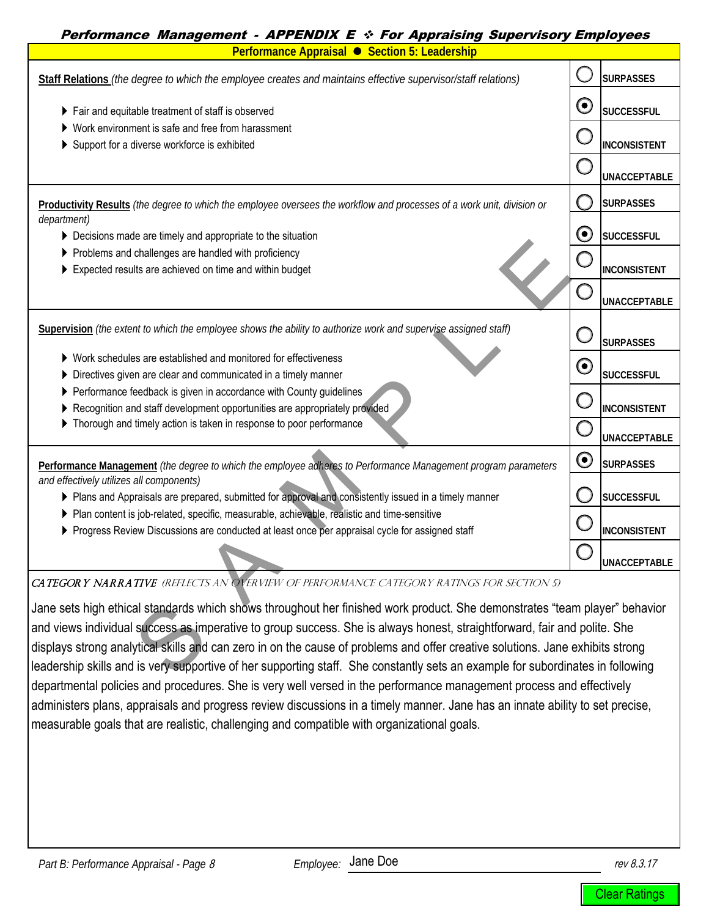| Performance Management - APPENDIX E $\div$ For Appraising Supervisory Employees<br><b>Performance Appraisal ● Section 5: Leadership</b>                                                                                                                                                                                                                                                                                                                                                                                   |                       |                     |
|---------------------------------------------------------------------------------------------------------------------------------------------------------------------------------------------------------------------------------------------------------------------------------------------------------------------------------------------------------------------------------------------------------------------------------------------------------------------------------------------------------------------------|-----------------------|---------------------|
| Staff Relations (the degree to which the employee creates and maintains effective supervisor/staff relations)                                                                                                                                                                                                                                                                                                                                                                                                             |                       | <b>SURPASSES</b>    |
| Fair and equitable treatment of staff is observed                                                                                                                                                                                                                                                                                                                                                                                                                                                                         | $\boldsymbol{\Theta}$ | <b>SUCCESSFUL</b>   |
| Work environment is safe and free from harassment<br>Support for a diverse workforce is exhibited                                                                                                                                                                                                                                                                                                                                                                                                                         |                       | <b>INCONSISTENT</b> |
|                                                                                                                                                                                                                                                                                                                                                                                                                                                                                                                           |                       | <b>UNACCEPTABLE</b> |
| Productivity Results (the degree to which the employee oversees the workflow and processes of a work unit, division or<br>department)                                                                                                                                                                                                                                                                                                                                                                                     |                       | <b>SURPASSES</b>    |
| Decisions made are timely and appropriate to the situation                                                                                                                                                                                                                                                                                                                                                                                                                                                                | C                     | <b>SUCCESSFUL</b>   |
| ▶ Problems and challenges are handled with proficiency<br>Expected results are achieved on time and within budget                                                                                                                                                                                                                                                                                                                                                                                                         |                       | <b>INCONSISTENT</b> |
|                                                                                                                                                                                                                                                                                                                                                                                                                                                                                                                           |                       | <b>UNACCEPTABLE</b> |
| Supervision (the extent to which the employee shows the ability to authorize work and supervise assigned staff)                                                                                                                                                                                                                                                                                                                                                                                                           |                       | <b>SURPASSES</b>    |
| ▶ Work schedules are established and monitored for effectiveness<br>Directives given are clear and communicated in a timely manner                                                                                                                                                                                                                                                                                                                                                                                        | $\boldsymbol{\Theta}$ | <b>SUCCESSFUL</b>   |
| Performance feedback is given in accordance with County guidelines<br>Recognition and staff development opportunities are appropriately provided                                                                                                                                                                                                                                                                                                                                                                          |                       | <b>INCONSISTENT</b> |
| Thorough and timely action is taken in response to poor performance                                                                                                                                                                                                                                                                                                                                                                                                                                                       |                       | <b>UNACCEPTABLE</b> |
| Performance Management (the degree to which the employee adheres to Performance Management program parameters<br>and effectively utilizes all components)                                                                                                                                                                                                                                                                                                                                                                 | $\boldsymbol{\Theta}$ | <b>SURPASSES</b>    |
| ▶ Plans and Appraisals are prepared, submitted for approval and consistently issued in a timely manner                                                                                                                                                                                                                                                                                                                                                                                                                    |                       | <b>SUCCESSFUL</b>   |
| Plan content is job-related, specific, measurable, achievable, realistic and time-sensitive<br>▶ Progress Review Discussions are conducted at least once per appraisal cycle for assigned staff                                                                                                                                                                                                                                                                                                                           |                       | <b>INCONSISTENT</b> |
|                                                                                                                                                                                                                                                                                                                                                                                                                                                                                                                           |                       | <b>UNACCEPTABLE</b> |
| <b>CATEGORY NARRATIVE</b> (REFLECTS AN OVERVIEW OF PERFORMANCE CATEGORY RATINGS FOR SECTION 5)                                                                                                                                                                                                                                                                                                                                                                                                                            |                       |                     |
| Jane sets high ethical standards which shows throughout her finished work product. She demonstrates "team player" behavior<br>and views individual success as imperative to group success. She is always honest, straightforward, fair and polite. She<br>displays strong analytical skills and can zero in on the cause of problems and offer creative solutions. Jane exhibits strong<br>leadership skills and is very supportive of her supporting staff. She constantly sets an example for subordinates in following |                       |                     |

## CATEGORY NARRATIVE (REFLECTS AN OVERVIEW OF PERFORMANCE CATEGORY RATINGS FOR SECTION 5)

Jane sets high ethical standards which shows throughout her finished work product. She demonstrates "team player" behavior and views individual success as imperative to group success. She is always honest, straightforward, fair and polite. She displays strong analytical skills and can zero in on the cause of problems and offer creative solutions. Jane exhibits strong leadership skills and is very supportive of her supporting staff. She constantly sets an example for subordinates in following departmental policies and procedures. She is very well versed in the performance management process and effectively administers plans, appraisals and progress review discussions in a timely manner. Jane has an innate ability to set precise, measurable goals that are realistic, challenging and compatible with organizational goals.